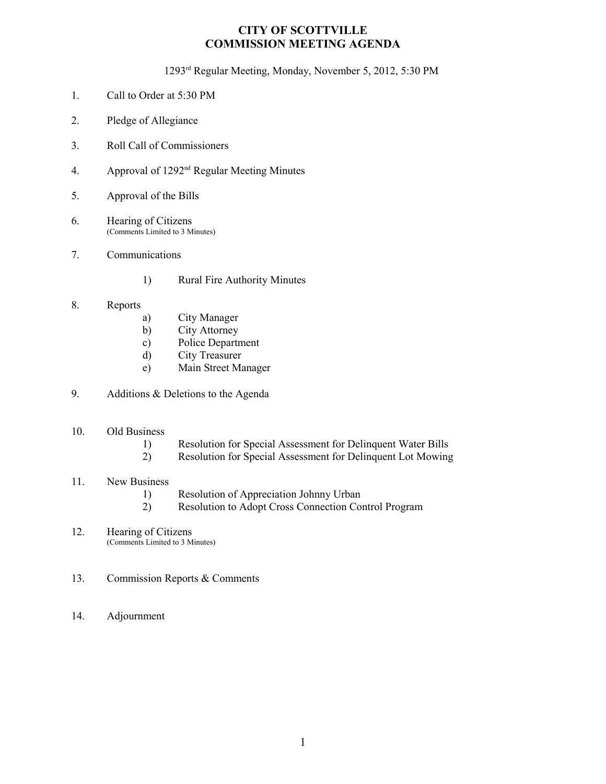#### **CITY OF SCOTTVILLE COMMISSION MEETING AGENDA**

1293rd Regular Meeting, Monday, November 5, 2012, 5:30 PM

- 1. Call to Order at 5:30 PM
- 2. Pledge of Allegiance
- 3. Roll Call of Commissioners
- 4. Approval of 1292nd Regular Meeting Minutes
- 5. Approval of the Bills
- 6. Hearing of Citizens (Comments Limited to 3 Minutes)
- 7. Communications
	- 1) Rural Fire Authority Minutes
- 8. Reports
	- a) City Manager
	- b) City Attorney
	- c) Police Department
	- d) City Treasurer
	- e) Main Street Manager
- 9. Additions & Deletions to the Agenda

#### 10. Old Business

- 1) Resolution for Special Assessment for Delinquent Water Bills
- 2) Resolution for Special Assessment for Delinquent Lot Mowing

#### 11. New Business

- 
- 1) Resolution of Appreciation Johnny Urban<br>2) Resolution to Adopt Cross Connection Co Resolution to Adopt Cross Connection Control Program
- 12. Hearing of Citizens (Comments Limited to 3 Minutes)
- 13. Commission Reports & Comments
- 14. Adjournment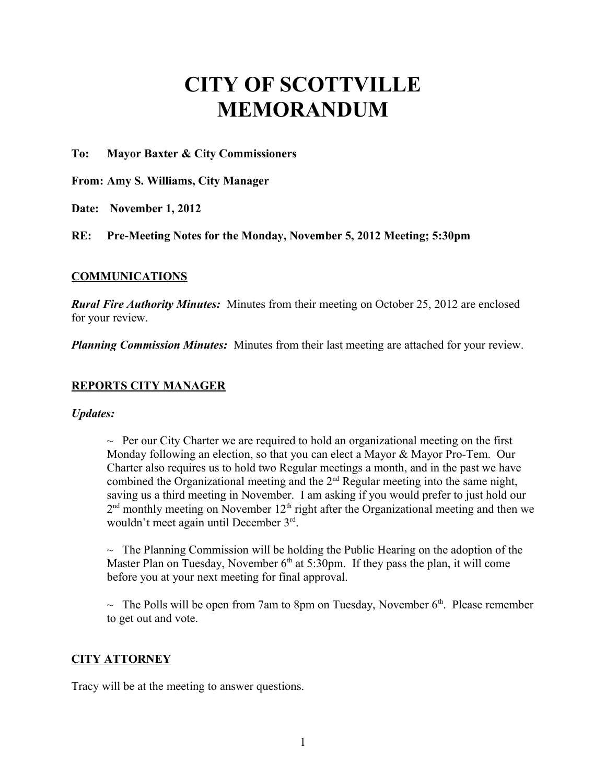# **CITY OF SCOTTVILLE MEMORANDUM**

**To: Mayor Baxter & City Commissioners**

**From: Amy S. Williams, City Manager**

**Date: November 1, 2012** 

**RE: Pre-Meeting Notes for the Monday, November 5, 2012 Meeting; 5:30pm**

#### **COMMUNICATIONS**

*Rural Fire Authority Minutes:* Minutes from their meeting on October 25, 2012 are enclosed for your review.

*Planning Commission Minutes:* Minutes from their last meeting are attached for your review.

## **REPORTS CITY MANAGER**

*Updates:* 

 $\sim$  Per our City Charter we are required to hold an organizational meeting on the first Monday following an election, so that you can elect a Mayor & Mayor Pro-Tem. Our Charter also requires us to hold two Regular meetings a month, and in the past we have combined the Organizational meeting and the  $2<sup>nd</sup>$  Regular meeting into the same night, saving us a third meeting in November. I am asking if you would prefer to just hold our  $2<sup>nd</sup>$  monthly meeting on November 12<sup>th</sup> right after the Organizational meeting and then we wouldn't meet again until December 3rd.

 $\sim$  The Planning Commission will be holding the Public Hearing on the adoption of the Master Plan on Tuesday, November  $6<sup>th</sup>$  at 5:30pm. If they pass the plan, it will come before you at your next meeting for final approval.

 $\sim$  The Polls will be open from 7am to 8pm on Tuesday, November 6<sup>th</sup>. Please remember to get out and vote.

## **CITY ATTORNEY**

Tracy will be at the meeting to answer questions.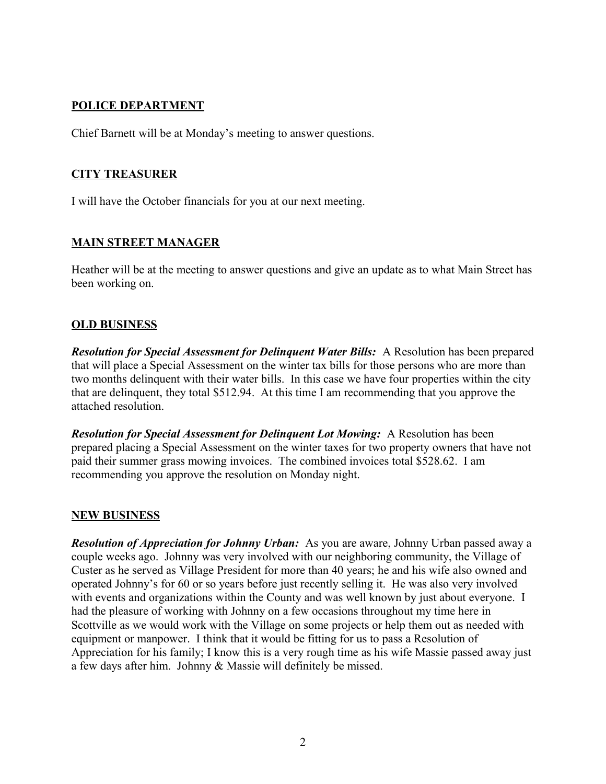# **POLICE DEPARTMENT**

Chief Barnett will be at Monday's meeting to answer questions.

# **CITY TREASURER**

I will have the October financials for you at our next meeting.

# **MAIN STREET MANAGER**

Heather will be at the meeting to answer questions and give an update as to what Main Street has been working on.

#### **OLD BUSINESS**

*Resolution for Special Assessment for Delinquent Water Bills:* A Resolution has been prepared that will place a Special Assessment on the winter tax bills for those persons who are more than two months delinquent with their water bills. In this case we have four properties within the city that are delinquent, they total \$512.94. At this time I am recommending that you approve the attached resolution.

*Resolution for Special Assessment for Delinquent Lot Mowing:*A Resolution has been prepared placing a Special Assessment on the winter taxes for two property owners that have not paid their summer grass mowing invoices. The combined invoices total \$528.62. I am recommending you approve the resolution on Monday night.

## **NEW BUSINESS**

*Resolution of Appreciation for Johnny Urban:* As you are aware, Johnny Urban passed away a couple weeks ago. Johnny was very involved with our neighboring community, the Village of Custer as he served as Village President for more than 40 years; he and his wife also owned and operated Johnny's for 60 or so years before just recently selling it. He was also very involved with events and organizations within the County and was well known by just about everyone. I had the pleasure of working with Johnny on a few occasions throughout my time here in Scottville as we would work with the Village on some projects or help them out as needed with equipment or manpower. I think that it would be fitting for us to pass a Resolution of Appreciation for his family; I know this is a very rough time as his wife Massie passed away just a few days after him. Johnny & Massie will definitely be missed.